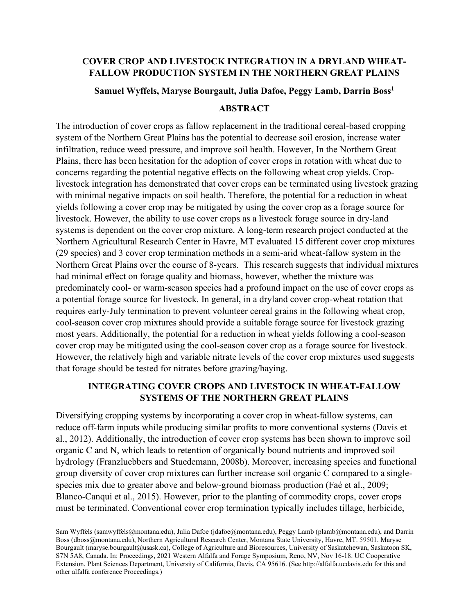### **COVER CROP AND LIVESTOCK INTEGRATION IN A DRYLAND WHEAT-FALLOW PRODUCTION SYSTEM IN THE NORTHERN GREAT PLAINS**

### **Samuel Wyffels, Maryse Bourgault, Julia Dafoe, Peggy Lamb, Darrin Boss1**

#### **ABSTRACT**

The introduction of cover crops as fallow replacement in the traditional cereal-based cropping system of the Northern Great Plains has the potential to decrease soil erosion, increase water infiltration, reduce weed pressure, and improve soil health. However, In the Northern Great Plains, there has been hesitation for the adoption of cover crops in rotation with wheat due to concerns regarding the potential negative effects on the following wheat crop yields. Croplivestock integration has demonstrated that cover crops can be terminated using livestock grazing with minimal negative impacts on soil health. Therefore, the potential for a reduction in wheat yields following a cover crop may be mitigated by using the cover crop as a forage source for livestock. However, the ability to use cover crops as a livestock forage source in dry-land systems is dependent on the cover crop mixture. A long-term research project conducted at the Northern Agricultural Research Center in Havre, MT evaluated 15 different cover crop mixtures (29 species) and 3 cover crop termination methods in a semi-arid wheat-fallow system in the Northern Great Plains over the course of 8-years. This research suggests that individual mixtures had minimal effect on forage quality and biomass, however, whether the mixture was predominately cool- or warm-season species had a profound impact on the use of cover crops as a potential forage source for livestock. In general, in a dryland cover crop-wheat rotation that requires early-July termination to prevent volunteer cereal grains in the following wheat crop, cool-season cover crop mixtures should provide a suitable forage source for livestock grazing most years. Additionally, the potential for a reduction in wheat yields following a cool-season cover crop may be mitigated using the cool-season cover crop as a forage source for livestock. However, the relatively high and variable nitrate levels of the cover crop mixtures used suggests that forage should be tested for nitrates before grazing/haying.

# **INTEGRATING COVER CROPS AND LIVESTOCK IN WHEAT-FALLOW SYSTEMS OF THE NORTHERN GREAT PLAINS**

Diversifying cropping systems by incorporating a cover crop in wheat-fallow systems, can reduce off-farm inputs while producing similar profits to more conventional systems (Davis et al., 2012). Additionally, the introduction of cover crop systems has been shown to improve soil organic C and N, which leads to retention of organically bound nutrients and improved soil hydrology (Franzluebbers and Stuedemann, 2008b). Moreover, increasing species and functional group diversity of cover crop mixtures can further increase soil organic C compared to a singlespecies mix due to greater above and below-ground biomass production (Faé et al., 2009; Blanco‐Canqui et al., 2015). However, prior to the planting of commodity crops, cover crops must be terminated. Conventional cover crop termination typically includes tillage, herbicide,

Sam Wyffels [\(samwyffels@montana.edu\)](mailto:samwyffels@montana.edu), Julia Dafoe (jdafoe@montana.edu), Peggy Lamb (plamb@montana.edu), and Darrin Boss (dboss@montana.edu), Northern Agricultural Research Center, Montana State University, Havre, MT. 59501. Maryse Bourgault (maryse.bourgault@usask.ca), College of Agriculture and Bioresources, University of Saskatchewan, Saskatoon SK, S7N 5A8, Canada. In: Proceedings, 2021 Western Alfalfa and Forage Symposium, Reno, NV, Nov 16-18. UC Cooperative Extension, Plant Sciences Department, University of California, Davis, CA 95616. (See http://alfalfa.ucdavis.edu for this and other alfalfa conference Proceedings.)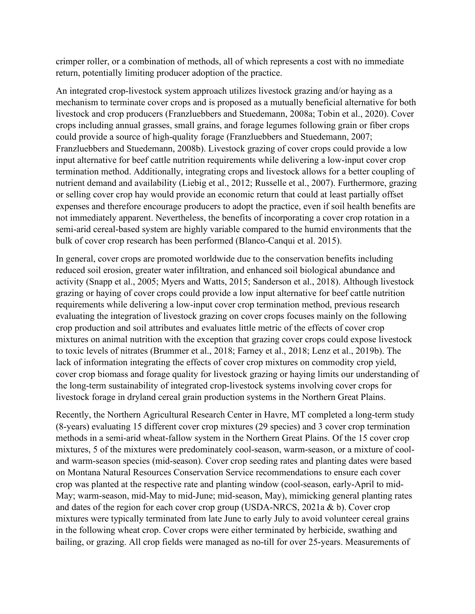crimper roller, or a combination of methods, all of which represents a cost with no immediate return, potentially limiting producer adoption of the practice.

An integrated crop-livestock system approach utilizes livestock grazing and/or haying as a mechanism to terminate cover crops and is proposed as a mutually beneficial alternative for both livestock and crop producers (Franzluebbers and Stuedemann, 2008a; Tobin et al., 2020). Cover crops including annual grasses, small grains, and forage legumes following grain or fiber crops could provide a source of high-quality forage (Franzluebbers and Stuedemann, 2007; Franzluebbers and Stuedemann, 2008b). Livestock grazing of cover crops could provide a low input alternative for beef cattle nutrition requirements while delivering a low-input cover crop termination method. Additionally, integrating crops and livestock allows for a better coupling of nutrient demand and availability (Liebig et al., 2012; Russelle et al., 2007). Furthermore, grazing or selling cover crop hay would provide an economic return that could at least partially offset expenses and therefore encourage producers to adopt the practice, even if soil health benefits are not immediately apparent. Nevertheless, the benefits of incorporating a cover crop rotation in a semi-arid cereal-based system are highly variable compared to the humid environments that the bulk of cover crop research has been performed (Blanco-Canqui et al. 2015).

In general, cover crops are promoted worldwide due to the conservation benefits including reduced soil erosion, greater water infiltration, and enhanced soil biological abundance and activity (Snapp et al., 2005; Myers and Watts, 2015; Sanderson et al., 2018). Although livestock grazing or haying of cover crops could provide a low input alternative for beef cattle nutrition requirements while delivering a low-input cover crop termination method, previous research evaluating the integration of livestock grazing on cover crops focuses mainly on the following crop production and soil attributes and evaluates little metric of the effects of cover crop mixtures on animal nutrition with the exception that grazing cover crops could expose livestock to toxic levels of nitrates (Brummer et al., 2018; Farney et al., 2018; Lenz et al., 2019b). The lack of information integrating the effects of cover crop mixtures on commodity crop yield, cover crop biomass and forage quality for livestock grazing or haying limits our understanding of the long-term sustainability of integrated crop-livestock systems involving cover crops for livestock forage in dryland cereal grain production systems in the Northern Great Plains.

Recently, the Northern Agricultural Research Center in Havre, MT completed a long-term study (8-years) evaluating 15 different cover crop mixtures (29 species) and 3 cover crop termination methods in a semi-arid wheat-fallow system in the Northern Great Plains. Of the 15 cover crop mixtures, 5 of the mixtures were predominately cool-season, warm-season, or a mixture of cooland warm-season species (mid-season). Cover crop seeding rates and planting dates were based on Montana Natural Resources Conservation Service recommendations to ensure each cover crop was planted at the respective rate and planting window (cool-season, early-April to mid-May; warm-season, mid-May to mid-June; mid-season, May), mimicking general planting rates and dates of the region for each cover crop group (USDA-NRCS, 2021a & b). Cover crop mixtures were typically terminated from late June to early July to avoid volunteer cereal grains in the following wheat crop. Cover crops were either terminated by herbicide, swathing and bailing, or grazing. All crop fields were managed as no-till for over 25-years. Measurements of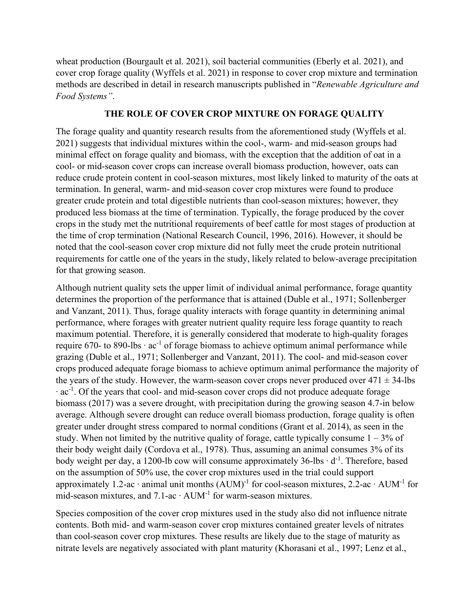wheat production (Bourgault et al. 2021), soil bacterial communities (Eberly et al. 2021), and cover crop forage quality (Wyffels et al. 2021) in response to cover crop mixture and termination methods are described in detail in research manuscripts published in "*Renewable Agriculture and Food Systems"*.

### **THE ROLE OF COVER CROP MIXTURE ON FORAGE QUALITY**

The forage quality and quantity research results from the aforementioned study (Wyffels et al. 2021) suggests that individual mixtures within the cool-, warm- and mid-season groups had minimal effect on forage quality and biomass, with the exception that the addition of oat in a cool- or mid-season cover crops can increase overall biomass production, however, oats can reduce crude protein content in cool-season mixtures, most likely linked to maturity of the oats at termination. In general, warm- and mid-season cover crop mixtures were found to produce greater crude protein and total digestible nutrients than cool-season mixtures; however, they produced less biomass at the time of termination. Typically, the forage produced by the cover crops in the study met the nutritional requirements of beef cattle for most stages of production at the time of crop termination (National Research Council, 1996, 2016). However, it should be noted that the cool-season cover crop mixture did not fully meet the crude protein nutritional requirements for cattle one of the years in the study, likely related to below-average precipitation for that growing season.

Although nutrient quality sets the upper limit of individual animal performance, forage quantity determines the proportion of the performance that is attained (Duble et al., 1971; Sollenberger and Vanzant, 2011). Thus, forage quality interacts with forage quantity in determining animal performance, where forages with greater nutrient quality require less forage quantity to reach maximum potential. Therefore, it is generally considered that moderate to high-quality forages require 670- to 890-lbs ⋅ ac<sup>-1</sup> of forage biomass to achieve optimum animal performance while grazing (Duble et al., 1971; Sollenberger and Vanzant, 2011). The cool- and mid-season cover crops produced adequate forage biomass to achieve optimum animal performance the majority of the years of the study. However, the warm-season cover crops never produced over  $471 \pm 34$ -lbs ∙ ac-1 . Of the years that cool- and mid-season cover crops did not produce adequate forage biomass (2017) was a severe drought, with precipitation during the growing season 4.7-in below average. Although severe drought can reduce overall biomass production, forage quality is often greater under drought stress compared to normal conditions (Grant et al. 2014), as seen in the study. When not limited by the nutritive quality of forage, cattle typically consume  $1 - 3\%$  of their body weight daily (Cordova et al., 1978). Thus, assuming an animal consumes 3% of its body weight per day, a 1200-lb cow will consume approximately 36-lbs ⋅ d<sup>-1</sup>. Therefore, based on the assumption of 50% use, the cover crop mixtures used in the trial could support approximately 1.2-ac ⋅ animal unit months  $(AUM)^{-1}$  for cool-season mixtures, 2.2-ac ⋅ AUM<sup>-1</sup> for mid-season mixtures, and 7.1-ac ∙ AUM-1 for warm-season mixtures.

Species composition of the cover crop mixtures used in the study also did not influence nitrate contents. Both mid- and warm-season cover crop mixtures contained greater levels of nitrates than cool-season cover crop mixtures. These results are likely due to the stage of maturity as nitrate levels are negatively associated with plant maturity (Khorasani et al., 1997; Lenz et al.,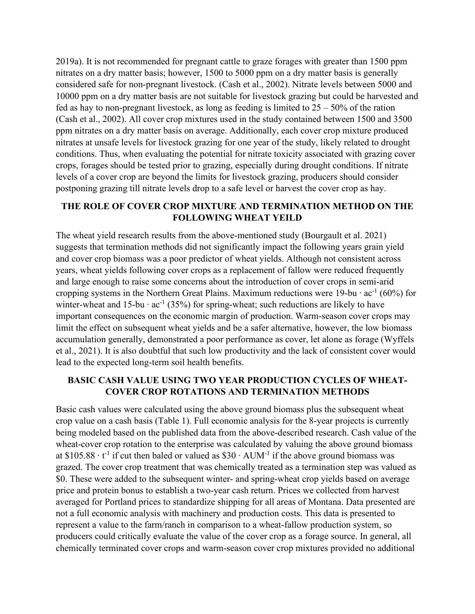2019a). It is not recommended for pregnant cattle to graze forages with greater than 1500 ppm nitrates on a dry matter basis; however, 1500 to 5000 ppm on a dry matter basis is generally considered safe for non-pregnant livestock. (Cash et al., 2002). Nitrate levels between 5000 and 10000 ppm on a dry matter basis are not suitable for livestock grazing but could be harvested and fed as hay to non-pregnant livestock, as long as feeding is limited to  $25 - 50\%$  of the ration (Cash et al., 2002). All cover crop mixtures used in the study contained between 1500 and 3500 ppm nitrates on a dry matter basis on average. Additionally, each cover crop mixture produced nitrates at unsafe levels for livestock grazing for one year of the study, likely related to drought conditions. Thus, when evaluating the potential for nitrate toxicity associated with grazing cover crops, forages should be tested prior to grazing, especially during drought conditions. If nitrate levels of a cover crop are beyond the limits for livestock grazing, producers should consider postponing grazing till nitrate levels drop to a safe level or harvest the cover crop as hay.

# **THE ROLE OF COVER CROP MIXTURE AND TERMINATION METHOD ON THE FOLLOWING WHEAT YEILD**

The wheat yield research results from the above-mentioned study (Bourgault et al. 2021) suggests that termination methods did not significantly impact the following years grain yield and cover crop biomass was a poor predictor of wheat yields. Although not consistent across years, wheat yields following cover crops as a replacement of fallow were reduced frequently and large enough to raise some concerns about the introduction of cover crops in semi-arid cropping systems in the Northern Great Plains. Maximum reductions were 19-bu  $\cdot$  ac<sup>-1</sup> (60%) for winter-wheat and 15-bu ⋅  $ac^{-1}$  (35%) for spring-wheat; such reductions are likely to have important consequences on the economic margin of production. Warm-season cover crops may limit the effect on subsequent wheat yields and be a safer alternative, however, the low biomass accumulation generally, demonstrated a poor performance as cover, let alone as forage (Wyffels et al., 2021). It is also doubtful that such low productivity and the lack of consistent cover would lead to the expected long-term soil health benefits.

# **BASIC CASH VALUE USING TWO YEAR PRODUCTION CYCLES OF WHEAT-COVER CROP ROTATIONS AND TERMINATION METHODS**

Basic cash values were calculated using the above ground biomass plus the subsequent wheat crop value on a cash basis (Table 1). Full economic analysis for the 8-year projects is currently being modeled based on the published data from the above-described research. Cash value of the wheat-cover crop rotation to the enterprise was calculated by valuing the above ground biomass at \$105.88  $\cdot$  t<sup>-1</sup> if cut then baled or valued as \$30  $\cdot$  AUM<sup>-1</sup> if the above ground biomass was grazed. The cover crop treatment that was chemically treated as a termination step was valued as \$0. These were added to the subsequent winter- and spring-wheat crop yields based on average price and protein bonus to establish a two-year cash return. Prices we collected from harvest averaged for Portland prices to standardize shipping for all areas of Montana. Data presented are not a full economic analysis with machinery and production costs. This data is presented to represent a value to the farm/ranch in comparison to a wheat-fallow production system, so producers could critically evaluate the value of the cover crop as a forage source. In general, all chemically terminated cover crops and warm-season cover crop mixtures provided no additional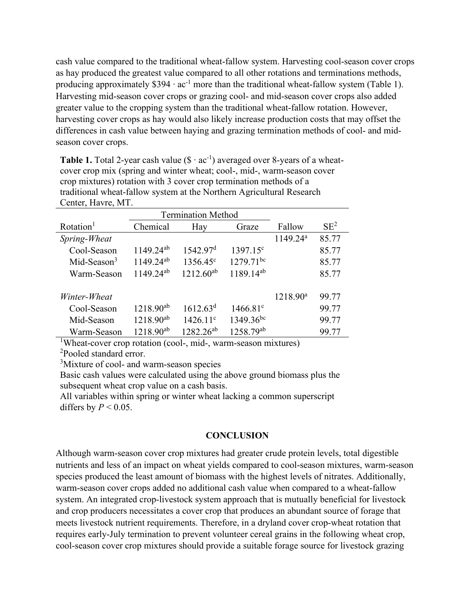cash value compared to the traditional wheat-fallow system. Harvesting cool-season cover crops as hay produced the greatest value compared to all other rotations and terminations methods, producing approximately  $$394 \cdot ac^{-1}$  more than the traditional wheat-fallow system (Table 1). Harvesting mid-season cover crops or grazing cool- and mid-season cover crops also added greater value to the cropping system than the traditional wheat-fallow rotation. However, harvesting cover crops as hay would also likely increase production costs that may offset the differences in cash value between haying and grazing termination methods of cool- and midseason cover crops.

**Table 1.** Total 2-year cash value  $(\$ \cdot ac^{-1})$  averaged over 8-years of a wheatcover crop mix (spring and winter wheat; cool-, mid-, warm-season cover crop mixtures) rotation with 3 cover crop termination methods of a traditional wheat-fallow system at the Northern Agricultural Research Center, Havre, MT.

|                       | <b>Termination Method</b> |                      |                   |                      |        |
|-----------------------|---------------------------|----------------------|-------------------|----------------------|--------|
| Rotation <sup>1</sup> | Chemical                  | Hay                  | Graze             | Fallow               | $SE^2$ |
| Spring-Wheat          |                           |                      |                   | 1149.24 <sup>a</sup> | 85.77  |
| Cool-Season           | $1149.24^{ab}$            | 1542.97 <sup>d</sup> | $1397.15^{\circ}$ |                      | 85.77  |
| Mid-Season $3$        | $1149.24^{ab}$            | 1356.45 <sup>c</sup> | $1279.71^{bc}$    |                      | 85.77  |
| Warm-Season           | $1149.24^{ab}$            | $1212.60^{ab}$       | $1189.14^{ab}$    |                      | 85.77  |
| Winter-Wheat          |                           |                      |                   | 1218.90 <sup>a</sup> | 99.77  |
| Cool-Season           | $1218.90^{ab}$            | 1612.63 <sup>d</sup> | $1466.81^{\circ}$ |                      | 99.77  |
| Mid-Season            | $1218.90^{ab}$            | $1426.11^{\circ}$    | $1349.36^{bc}$    |                      | 99.77  |
| Warm-Season           | $1218.90^{ab}$            | $1282.26^{ab}$       | $1258.79^{ab}$    |                      | 99.77  |

<sup>1</sup>Wheat-cover crop rotation (cool-, mid-, warm-season mixtures)

2 Pooled standard error.

<sup>3</sup>Mixture of cool- and warm-season species

Basic cash values were calculated using the above ground biomass plus the subsequent wheat crop value on a cash basis.

All variables within spring or winter wheat lacking a common superscript differs by  $P < 0.05$ .

# **CONCLUSION**

Although warm-season cover crop mixtures had greater crude protein levels, total digestible nutrients and less of an impact on wheat yields compared to cool-season mixtures, warm-season species produced the least amount of biomass with the highest levels of nitrates. Additionally, warm-season cover crops added no additional cash value when compared to a wheat-fallow system. An integrated crop-livestock system approach that is mutually beneficial for livestock and crop producers necessitates a cover crop that produces an abundant source of forage that meets livestock nutrient requirements. Therefore, in a dryland cover crop-wheat rotation that requires early-July termination to prevent volunteer cereal grains in the following wheat crop, cool-season cover crop mixtures should provide a suitable forage source for livestock grazing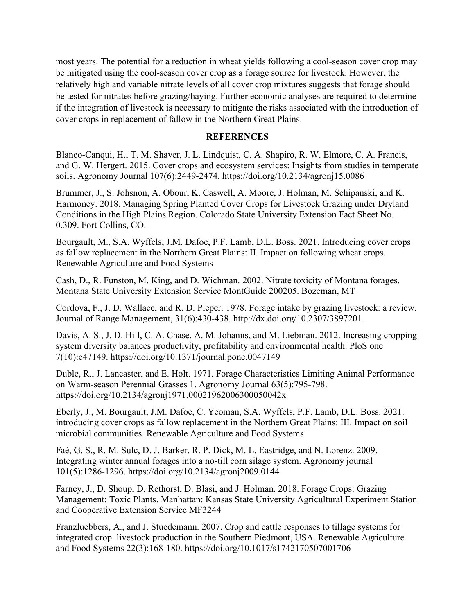most years. The potential for a reduction in wheat yields following a cool-season cover crop may be mitigated using the cool-season cover crop as a forage source for livestock. However, the relatively high and variable nitrate levels of all cover crop mixtures suggests that forage should be tested for nitrates before grazing/haying. Further economic analyses are required to determine if the integration of livestock is necessary to mitigate the risks associated with the introduction of cover crops in replacement of fallow in the Northern Great Plains.

#### **REFERENCES**

Blanco‐Canqui, H., T. M. Shaver, J. L. Lindquist, C. A. Shapiro, R. W. Elmore, C. A. Francis, and G. W. Hergert. 2015. Cover crops and ecosystem services: Insights from studies in temperate soils. Agronomy Journal 107(6):2449-2474. https://doi.org/10.2134/agronj15.0086

Brummer, J., S. Johsnon, A. Obour, K. Caswell, A. Moore, J. Holman, M. Schipanski, and K. Harmoney. 2018. Managing Spring Planted Cover Crops for Livestock Grazing under Dryland Conditions in the High Plains Region. Colorado State University Extension Fact Sheet No. 0.309. Fort Collins, CO.

Bourgault, M., S.A. Wyffels, J.M. Dafoe, P.F. Lamb, D.L. Boss. 2021. Introducing cover crops as fallow replacement in the Northern Great Plains: II. Impact on following wheat crops. Renewable Agriculture and Food Systems

Cash, D., R. Funston, M. King, and D. Wichman. 2002. Nitrate toxicity of Montana forages. Montana State University Extension Service MontGuide 200205. Bozeman, MT

Cordova, F., J. D. Wallace, and R. D. Pieper. 1978. Forage intake by grazing livestock: a review. Journal of Range Management, 31(6):430-438. http://dx.doi.org/10.2307/3897201.

Davis, A. S., J. D. Hill, C. A. Chase, A. M. Johanns, and M. Liebman. 2012. Increasing cropping system diversity balances productivity, profitability and environmental health. PloS one 7(10):e47149. https://doi.org/10.1371/journal.pone.0047149

Duble, R., J. Lancaster, and E. Holt. 1971. Forage Characteristics Limiting Animal Performance on Warm‐season Perennial Grasses 1. Agronomy Journal 63(5):795-798. https://doi.org/10.2134/agronj1971.00021962006300050042x

Eberly, J., M. Bourgault, J.M. Dafoe, C. Yeoman, S.A. Wyffels, P.F. Lamb, D.L. Boss. 2021. introducing cover crops as fallow replacement in the Northern Great Plains: III. Impact on soil microbial communities. Renewable Agriculture and Food Systems

Faé, G. S., R. M. Sulc, D. J. Barker, R. P. Dick, M. L. Eastridge, and N. Lorenz. 2009. Integrating winter annual forages into a no-till corn silage system. Agronomy journal 101(5):1286-1296. https://doi.org/10.2134/agronj2009.0144

Farney, J., D. Shoup, D. Rethorst, D. Blasi, and J. Holman. 2018. Forage Crops: Grazing Management: Toxic Plants. Manhattan: Kansas State University Agricultural Experiment Station and Cooperative Extension Service MF3244

Franzluebbers, A., and J. Stuedemann. 2007. Crop and cattle responses to tillage systems for integrated crop–livestock production in the Southern Piedmont, USA. Renewable Agriculture and Food Systems 22(3):168-180. https://doi.org/10.1017/s1742170507001706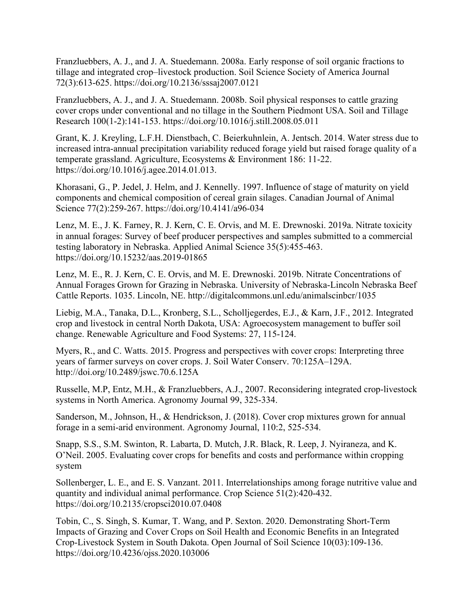Franzluebbers, A. J., and J. A. Stuedemann. 2008a. Early response of soil organic fractions to tillage and integrated crop–livestock production. Soil Science Society of America Journal 72(3):613-625. https://doi.org/10.2136/sssaj2007.0121

Franzluebbers, A. J., and J. A. Stuedemann. 2008b. Soil physical responses to cattle grazing cover crops under conventional and no tillage in the Southern Piedmont USA. Soil and Tillage Research 100(1-2):141-153. https://doi.org/10.1016/j.still.2008.05.011

Grant, K. J. Kreyling, L.F.H. Dienstbach, C. Beierkuhnlein, A. Jentsch. 2014. Water stress due to increased intra-annual precipitation variability reduced forage yield but raised forage quality of a temperate grassland. Agriculture, Ecosystems & Environment 186: 11-22. https://doi.org/10.1016/j.agee.2014.01.013.

Khorasani, G., P. Jedel, J. Helm, and J. Kennelly. 1997. Influence of stage of maturity on yield components and chemical composition of cereal grain silages. Canadian Journal of Animal Science 77(2):259-267. https://doi.org/10.4141/a96-034

Lenz, M. E., J. K. Farney, R. J. Kern, C. E. Orvis, and M. E. Drewnoski. 2019a. Nitrate toxicity in annual forages: Survey of beef producer perspectives and samples submitted to a commercial testing laboratory in Nebraska. Applied Animal Science 35(5):455-463. https://doi.org/10.15232/aas.2019-01865

Lenz, M. E., R. J. Kern, C. E. Orvis, and M. E. Drewnoski. 2019b. Nitrate Concentrations of Annual Forages Grown for Grazing in Nebraska. University of Nebraska-Lincoln Nebraska Beef Cattle Reports. 1035. Lincoln, NE. http://digitalcommons.unl.edu/animalscinbcr/1035

Liebig, M.A., Tanaka, D.L., Kronberg, S.L., Scholljegerdes, E.J., & Karn, J.F., 2012. Integrated crop and livestock in central North Dakota, USA: Agroecosystem management to buffer soil change. Renewable Agriculture and Food Systems: 27, 115-124.

Myers, R., and C. Watts. 2015. Progress and perspectives with cover crops: Interpreting three years of farmer surveys on cover crops. J. Soil Water Conserv. 70:125A–129A. http://doi.org/10.2489/jswc.70.6.125A

Russelle, M.P, Entz, M.H., & Franzluebbers, A.J., 2007. Reconsidering integrated crop-livestock systems in North America. Agronomy Journal 99, 325-334.

Sanderson, M., Johnson, H., & Hendrickson, J. (2018). Cover crop mixtures grown for annual forage in a semi‐arid environment. Agronomy Journal, 110:2, 525-534.

Snapp, S.S., S.M. Swinton, R. Labarta, D. Mutch, J.R. Black, R. Leep, J. Nyiraneza, and K. O'Neil. 2005. Evaluating cover crops for benefits and costs and performance within cropping system

Sollenberger, L. E., and E. S. Vanzant. 2011. Interrelationships among forage nutritive value and quantity and individual animal performance. Crop Science 51(2):420-432. https://doi.org/10.2135/cropsci2010.07.0408

Tobin, C., S. Singh, S. Kumar, T. Wang, and P. Sexton. 2020. Demonstrating Short-Term Impacts of Grazing and Cover Crops on Soil Health and Economic Benefits in an Integrated Crop-Livestock System in South Dakota. Open Journal of Soil Science 10(03):109-136. https://doi.org/10.4236/ojss.2020.103006